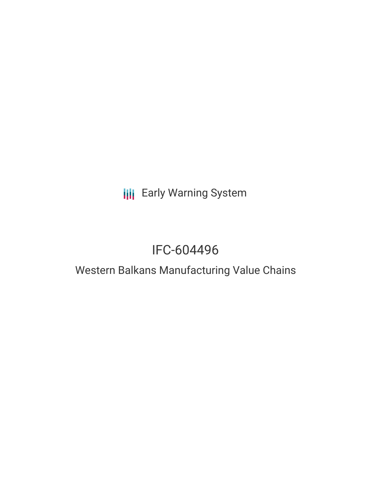# **III** Early Warning System

# IFC-604496

### Western Balkans Manufacturing Value Chains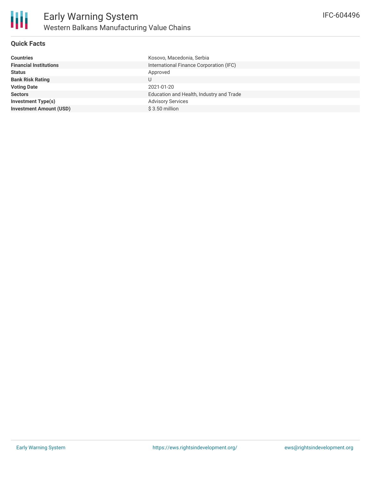

#### **Quick Facts**

| <b>Countries</b>               | Kosovo, Macedonia, Serbia                |
|--------------------------------|------------------------------------------|
| <b>Financial Institutions</b>  | International Finance Corporation (IFC)  |
| <b>Status</b>                  | Approved                                 |
| <b>Bank Risk Rating</b>        | U                                        |
| <b>Voting Date</b>             | 2021-01-20                               |
| <b>Sectors</b>                 | Education and Health, Industry and Trade |
| Investment Type(s)             | <b>Advisory Services</b>                 |
| <b>Investment Amount (USD)</b> | $$3.50$ million                          |
|                                |                                          |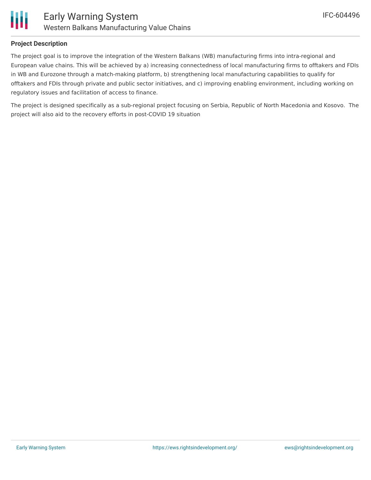

#### **Project Description**

The project goal is to improve the integration of the Western Balkans (WB) manufacturing firms into intra-regional and European value chains. This will be achieved by a) increasing connectedness of local manufacturing firms to offtakers and FDIs in WB and Eurozone through a match-making platform, b) strengthening local manufacturing capabilities to qualify for offtakers and FDIs through private and public sector initiatives, and c) improving enabling environment, including working on regulatory issues and facilitation of access to finance.

The project is designed specifically as a sub-regional project focusing on Serbia, Republic of North Macedonia and Kosovo. The project will also aid to the recovery efforts in post-COVID 19 situation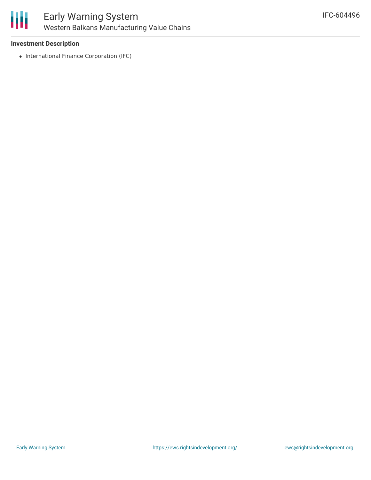

#### **Investment Description**

• International Finance Corporation (IFC)